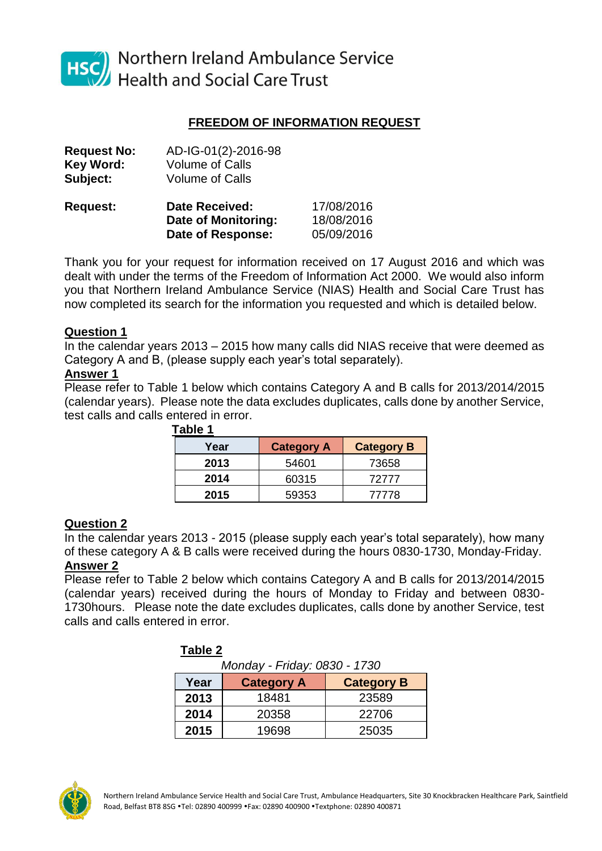

Northern Ireland Ambulance Service **Health and Social Care Trust** 

### **FREEDOM OF INFORMATION REQUEST**

| AD-IG-01(2)-2016-98<br><b>Volume of Calls</b><br><b>Volume of Calls</b> |            |
|-------------------------------------------------------------------------|------------|
| <b>Date Received:</b>                                                   | 17/08/2016 |
| Date of Monitoring:                                                     | 18/08/2016 |
| <b>Date of Response:</b>                                                | 05/09/2016 |
|                                                                         |            |

Thank you for your request for information received on 17 August 2016 and which was dealt with under the terms of the Freedom of Information Act 2000. We would also inform you that Northern Ireland Ambulance Service (NIAS) Health and Social Care Trust has now completed its search for the information you requested and which is detailed below.

### **Question 1**

In the calendar years 2013 – 2015 how many calls did NIAS receive that were deemed as Category A and B, (please supply each year's total separately).

#### **Answer 1**

Please refer to Table 1 below which contains Category A and B calls for 2013/2014/2015 (calendar years). Please note the data excludes duplicates, calls done by another Service, test calls and calls entered in error.

| IUNIV I |                   |                   |
|---------|-------------------|-------------------|
| Year    | <b>Category A</b> | <b>Category B</b> |
| 2013    | 54601             | 73658             |
| 2014    | 60315             | 72777             |
| 2015    | 59353             | 77778             |

## **Table 1**

#### **Question 2**

In the calendar years 2013 - 2015 (please supply each year's total separately), how many of these category A & B calls were received during the hours 0830-1730, Monday-Friday. **Answer 2**

Please refer to Table 2 below which contains Category A and B calls for 2013/2014/2015 (calendar years) received during the hours of Monday to Friday and between 0830- 1730hours. Please note the date excludes duplicates, calls done by another Service, test calls and calls entered in error.

| Labie Z                      |                   |                   |  |  |
|------------------------------|-------------------|-------------------|--|--|
| Monday - Friday: 0830 - 1730 |                   |                   |  |  |
| Year                         | <b>Category A</b> | <b>Category B</b> |  |  |
| 2013                         | 18481             | 23589             |  |  |
| 2014                         | 20358             | 22706             |  |  |
| 2015                         | 19698             | 25035             |  |  |

# **Table 2**